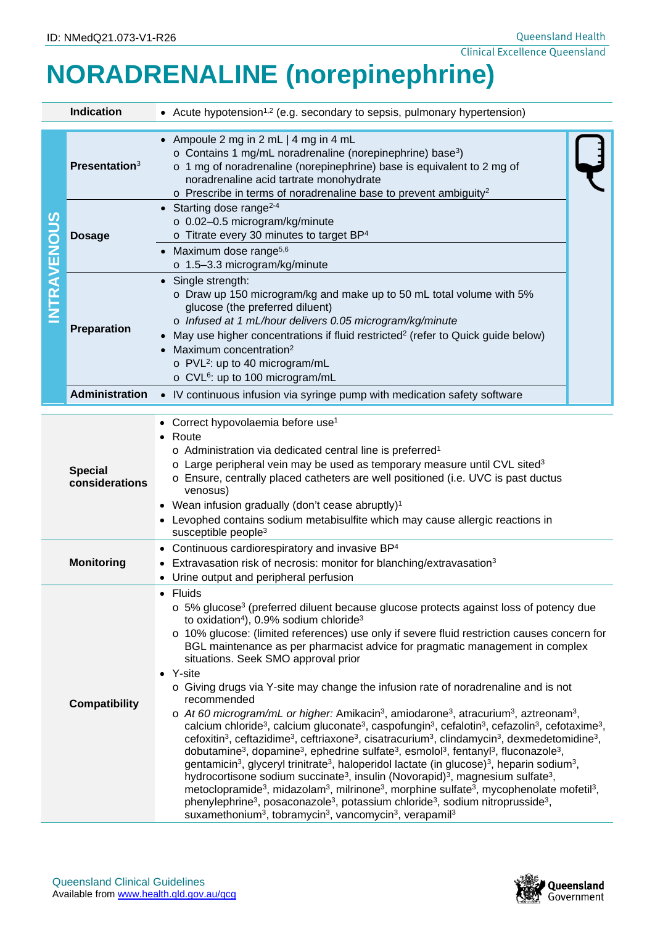# **NORADRENALINE (norepinephrine)**

| <b>Indication</b>    |                                  | • Acute hypotension <sup>1,2</sup> (e.g. secondary to sepsis, pulmonary hypertension)                                                                                                                                                                                                                                                                                                                                                                                                                                                                                                                                                                                                                                                                                                                                                                                                                                                                                                                                                                                                                                                                                                                                                                                                                                                                                                                                                                                                                                                                                                                                                                                                                                                                                                                                                                           |  |  |  |
|----------------------|----------------------------------|-----------------------------------------------------------------------------------------------------------------------------------------------------------------------------------------------------------------------------------------------------------------------------------------------------------------------------------------------------------------------------------------------------------------------------------------------------------------------------------------------------------------------------------------------------------------------------------------------------------------------------------------------------------------------------------------------------------------------------------------------------------------------------------------------------------------------------------------------------------------------------------------------------------------------------------------------------------------------------------------------------------------------------------------------------------------------------------------------------------------------------------------------------------------------------------------------------------------------------------------------------------------------------------------------------------------------------------------------------------------------------------------------------------------------------------------------------------------------------------------------------------------------------------------------------------------------------------------------------------------------------------------------------------------------------------------------------------------------------------------------------------------------------------------------------------------------------------------------------------------|--|--|--|
| <b>NTRAVENOUS</b>    | Presentation <sup>3</sup>        | • Ampoule 2 mg in 2 mL   4 mg in 4 mL<br>o Contains 1 mg/mL noradrenaline (norepinephrine) base <sup>3</sup> )<br>o 1 mg of noradrenaline (norepinephrine) base is equivalent to 2 mg of<br>noradrenaline acid tartrate monohydrate<br>$\circ$ Prescribe in terms of noradrenaline base to prevent ambiguity <sup>2</sup>                                                                                                                                                                                                                                                                                                                                                                                                                                                                                                                                                                                                                                                                                                                                                                                                                                                                                                                                                                                                                                                                                                                                                                                                                                                                                                                                                                                                                                                                                                                                       |  |  |  |
|                      | <b>Dosage</b>                    | • Starting dose range <sup>2-4</sup><br>o 0.02-0.5 microgram/kg/minute<br>o Titrate every 30 minutes to target BP <sup>4</sup><br>• Maximum dose range <sup>5,6</sup><br>o 1.5-3.3 microgram/kg/minute                                                                                                                                                                                                                                                                                                                                                                                                                                                                                                                                                                                                                                                                                                                                                                                                                                                                                                                                                                                                                                                                                                                                                                                                                                                                                                                                                                                                                                                                                                                                                                                                                                                          |  |  |  |
|                      | Preparation                      | • Single strength:<br>o Draw up 150 microgram/kg and make up to 50 mL total volume with 5%<br>glucose (the preferred diluent)<br>o Infused at 1 mL/hour delivers 0.05 microgram/kg/minute<br>May use higher concentrations if fluid restricted <sup>2</sup> (refer to Quick guide below)<br>Maximum concentration <sup>2</sup><br>o PVL <sup>2</sup> : up to 40 microgram/mL<br>o CVL <sup>6</sup> : up to 100 microgram/mL                                                                                                                                                                                                                                                                                                                                                                                                                                                                                                                                                                                                                                                                                                                                                                                                                                                                                                                                                                                                                                                                                                                                                                                                                                                                                                                                                                                                                                     |  |  |  |
|                      | Administration                   | • IV continuous infusion via syringe pump with medication safety software                                                                                                                                                                                                                                                                                                                                                                                                                                                                                                                                                                                                                                                                                                                                                                                                                                                                                                                                                                                                                                                                                                                                                                                                                                                                                                                                                                                                                                                                                                                                                                                                                                                                                                                                                                                       |  |  |  |
|                      | <b>Special</b><br>considerations | Correct hypovolaemia before use <sup>1</sup><br>Route<br>o Administration via dedicated central line is preferred <sup>1</sup><br>$\circ$ Large peripheral vein may be used as temporary measure until CVL sited <sup>3</sup><br>$\circ$ Ensure, centrally placed catheters are well positioned (i.e. UVC is past ductus<br>venosus)<br>• Wean infusion gradually (don't cease abruptly) <sup>1</sup><br>Levophed contains sodium metabisulfite which may cause allergic reactions in<br>susceptible people <sup>3</sup>                                                                                                                                                                                                                                                                                                                                                                                                                                                                                                                                                                                                                                                                                                                                                                                                                                                                                                                                                                                                                                                                                                                                                                                                                                                                                                                                        |  |  |  |
| <b>Monitoring</b>    |                                  | • Continuous cardiorespiratory and invasive BP <sup>4</sup><br>Extravasation risk of necrosis: monitor for blanching/extravasation <sup>3</sup><br>Urine output and peripheral perfusion                                                                                                                                                                                                                                                                                                                                                                                                                                                                                                                                                                                                                                                                                                                                                                                                                                                                                                                                                                                                                                                                                                                                                                                                                                                                                                                                                                                                                                                                                                                                                                                                                                                                        |  |  |  |
| <b>Compatibility</b> |                                  | Fluids<br>o 5% glucose <sup>3</sup> (preferred diluent because glucose protects against loss of potency due<br>to oxidation <sup>4</sup> ), 0.9% sodium chloride <sup>3</sup><br>o 10% glucose: (limited references) use only if severe fluid restriction causes concern for<br>BGL maintenance as per pharmacist advice for pragmatic management in complex<br>situations. Seek SMO approval prior<br>• Y-site<br>o Giving drugs via Y-site may change the infusion rate of noradrenaline and is not<br>recommended<br>$\circ$ At 60 microgram/mL or higher: Amikacin <sup>3</sup> , amiodarone <sup>3</sup> , atracurium <sup>3</sup> , aztreonam <sup>3</sup> ,<br>calcium chloride <sup>3</sup> , calcium gluconate <sup>3</sup> , caspofungin <sup>3</sup> , cefalotin <sup>3</sup> , cefazolin <sup>3</sup> , cefotaxime <sup>3</sup> ,<br>cefoxitin <sup>3</sup> , ceftazidime <sup>3</sup> , ceftriaxone <sup>3</sup> , cisatracurium <sup>3</sup> , clindamycin <sup>3</sup> , dexmedetomidine <sup>3</sup> ,<br>dobutamine <sup>3</sup> , dopamine <sup>3</sup> , ephedrine sulfate <sup>3</sup> , esmolol <sup>3</sup> , fentanyl <sup>3</sup> , fluconazole <sup>3</sup> ,<br>gentamicin <sup>3</sup> , glyceryl trinitrate <sup>3</sup> , haloperidol lactate (in glucose) <sup>3</sup> , heparin sodium <sup>3</sup> ,<br>hydrocortisone sodium succinate <sup>3</sup> , insulin (Novorapid) <sup>3</sup> , magnesium sulfate <sup>3</sup> ,<br>metoclopramide <sup>3</sup> , midazolam <sup>3</sup> , milrinone <sup>3</sup> , morphine sulfate <sup>3</sup> , mycophenolate mofetil <sup>3</sup> ,<br>phenylephrine <sup>3</sup> , posaconazole <sup>3</sup> , potassium chloride <sup>3</sup> , sodium nitroprusside <sup>3</sup> ,<br>suxamethonium <sup>3</sup> , tobramycin <sup>3</sup> , vancomycin <sup>3</sup> , verapamil <sup>3</sup> |  |  |  |



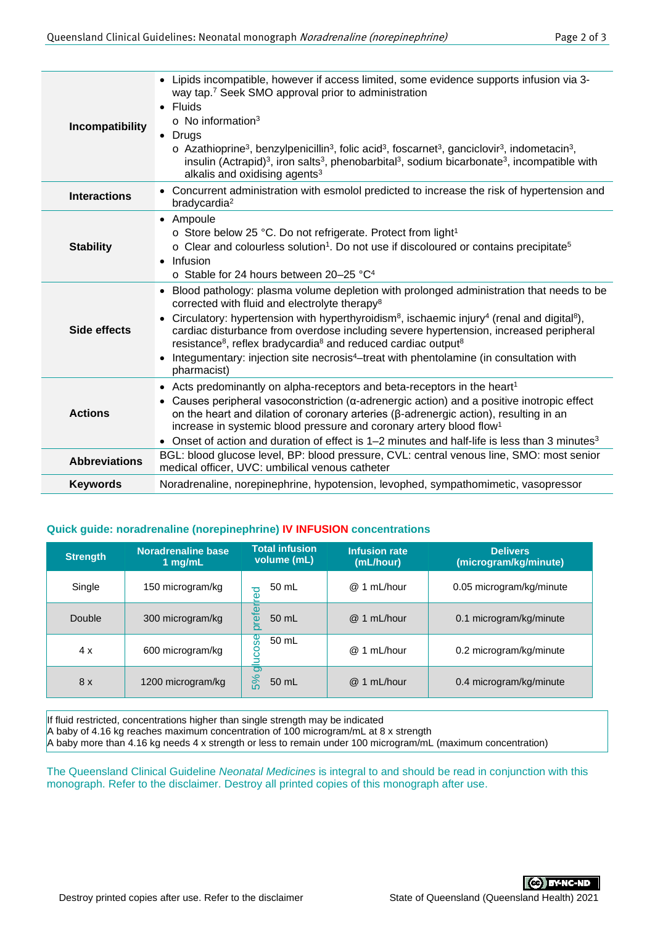| Incompatibility      | • Lipids incompatible, however if access limited, some evidence supports infusion via 3-<br>way tap. <sup>7</sup> Seek SMO approval prior to administration<br><b>Fluids</b><br>$\circ$ No information <sup>3</sup><br>• Drugs<br>$\circ$ Azathioprine <sup>3</sup> , benzylpenicillin <sup>3</sup> , folic acid <sup>3</sup> , foscarnet <sup>3</sup> , ganciclovir <sup>3</sup> , indometacin <sup>3</sup> ,<br>insulin (Actrapid) <sup>3</sup> , iron salts <sup>3</sup> , phenobarbital <sup>3</sup> , sodium bicarbonate <sup>3</sup> , incompatible with<br>alkalis and oxidising agents <sup>3</sup>              |  |  |  |
|----------------------|--------------------------------------------------------------------------------------------------------------------------------------------------------------------------------------------------------------------------------------------------------------------------------------------------------------------------------------------------------------------------------------------------------------------------------------------------------------------------------------------------------------------------------------------------------------------------------------------------------------------------|--|--|--|
| <b>Interactions</b>  | • Concurrent administration with esmolol predicted to increase the risk of hypertension and<br>bradycardia <sup>2</sup>                                                                                                                                                                                                                                                                                                                                                                                                                                                                                                  |  |  |  |
| <b>Stability</b>     | • Ampoule<br>o Store below 25 °C. Do not refrigerate. Protect from light <sup>1</sup><br>o Clear and colourless solution <sup>1</sup> . Do not use if discoloured or contains precipitate <sup>5</sup><br>Infusion<br>$\bullet$<br>$\circ$ Stable for 24 hours between 20-25 °C <sup>4</sup>                                                                                                                                                                                                                                                                                                                             |  |  |  |
| Side effects         | Blood pathology: plasma volume depletion with prolonged administration that needs to be<br>$\bullet$<br>corrected with fluid and electrolyte therapy <sup>8</sup><br>• Circulatory: hypertension with hyperthyroidism <sup>8</sup> , ischaemic injury <sup>4</sup> (renal and digital <sup>8</sup> ),<br>cardiac disturbance from overdose including severe hypertension, increased peripheral<br>resistance <sup>8</sup> , reflex bradycardia <sup>8</sup> and reduced cardiac output <sup>8</sup><br>Integumentary: injection site necrosis <sup>4</sup> -treat with phentolamine (in consultation with<br>pharmacist) |  |  |  |
| <b>Actions</b>       | • Acts predominantly on alpha-receptors and beta-receptors in the heart <sup>1</sup><br>Causes peripheral vasoconstriction ( $\alpha$ -adrenergic action) and a positive inotropic effect<br>$\bullet$<br>on the heart and dilation of coronary arteries ( $\beta$ -adrenergic action), resulting in an<br>increase in systemic blood pressure and coronary artery blood flow <sup>1</sup><br>• Onset of action and duration of effect is $1-2$ minutes and half-life is less than 3 minutes <sup>3</sup>                                                                                                                |  |  |  |
| <b>Abbreviations</b> | BGL: blood glucose level, BP: blood pressure, CVL: central venous line, SMO: most senior<br>medical officer, UVC: umbilical venous catheter                                                                                                                                                                                                                                                                                                                                                                                                                                                                              |  |  |  |
| <b>Keywords</b>      | Noradrenaline, norepinephrine, hypotension, levophed, sympathomimetic, vasopressor                                                                                                                                                                                                                                                                                                                                                                                                                                                                                                                                       |  |  |  |
|                      |                                                                                                                                                                                                                                                                                                                                                                                                                                                                                                                                                                                                                          |  |  |  |

# **Quick guide: noradrenaline (norepinephrine) IV INFUSION concentrations**

| <b>Strength</b>                                                                                                                                                                                                                                                                                                                                                                                                                                                                                           | <b>Noradrenaline base</b><br>$1$ mg/mL | <b>Total infusion</b><br>volume (mL) | <b>Infusion rate</b><br>(mL/hour) | <b>Delivers</b><br>(microgram/kg/minute) |  |  |
|-----------------------------------------------------------------------------------------------------------------------------------------------------------------------------------------------------------------------------------------------------------------------------------------------------------------------------------------------------------------------------------------------------------------------------------------------------------------------------------------------------------|----------------------------------------|--------------------------------------|-----------------------------------|------------------------------------------|--|--|
| Single                                                                                                                                                                                                                                                                                                                                                                                                                                                                                                    | 150 microgram/kg                       | 50 mL<br>ਹ<br>به                     | @ 1 mL/hour                       | 0.05 microgram/kg/minute                 |  |  |
| Double                                                                                                                                                                                                                                                                                                                                                                                                                                                                                                    | 300 microgram/kg                       | prefer<br>50 mL                      | @ 1 mL/hour                       | 0.1 microgram/kg/minute                  |  |  |
| 4x                                                                                                                                                                                                                                                                                                                                                                                                                                                                                                        | 600 microgram/kg                       | မွှ<br>50 mL<br>oon                  | @ 1 mL/hour                       | 0.2 microgram/kg/minute                  |  |  |
| 8x                                                                                                                                                                                                                                                                                                                                                                                                                                                                                                        | 1200 microgram/kg                      | $\overline{O}$<br>5%<br>50 mL        | @ 1 mL/hour                       | 0.4 microgram/kg/minute                  |  |  |
| If fluid restricted, concentrations higher than single strength may be indicated<br>A baby of 4.16 kg reaches maximum concentration of 100 microgram/mL at 8 x strength<br>A baby more than 4.16 kg needs 4 x strength or less to remain under 100 microgram/mL (maximum concentration)<br>The Queensland Clinical Guideline Neonatal Medicines is integral to and should be read in conjunction with this<br>monograph. Refer to the disclaimer. Destroy all printed copies of this monograph after use. |                                        |                                      |                                   |                                          |  |  |